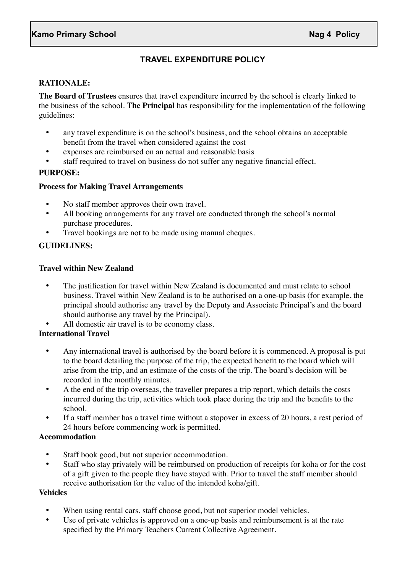# **TRAVEL EXPENDITURE POLICY**

# **RATIONALE:**

**The Board of Trustees** ensures that travel expenditure incurred by the school is clearly linked to the business of the school. **The Principal** has responsibility for the implementation of the following guidelines:

- any travel expenditure is on the school's business, and the school obtains an acceptable benefit from the travel when considered against the cost
- expenses are reimbursed on an actual and reasonable basis
- staff required to travel on business do not suffer any negative financial effect.

## **PURPOSE:**

#### **Process for Making Travel Arrangements**

- No staff member approves their own travel.
- All booking arrangements for any travel are conducted through the school's normal purchase procedures.
- Travel bookings are not to be made using manual cheques.

#### **GUIDELINES:**

#### **Travel within New Zealand**

• The justification for travel within New Zealand is documented and must relate to school business. Travel within New Zealand is to be authorised on a one-up basis (for example, the principal should authorise any travel by the Deputy and Associate Principal's and the board should authorise any travel by the Principal).

All domestic air travel is to be economy class.

# **International Travel**

- Any international travel is authorised by the board before it is commenced. A proposal is put to the board detailing the purpose of the trip, the expected benefit to the board which will arise from the trip, and an estimate of the costs of the trip. The board's decision will be recorded in the monthly minutes.
- A the end of the trip overseas, the traveller prepares a trip report, which details the costs incurred during the trip, activities which took place during the trip and the benefits to the school.
- If a staff member has a travel time without a stopover in excess of 20 hours, a rest period of 24 hours before commencing work is permitted.

## **Accommodation**

- Staff book good, but not superior accommodation.
- Staff who stay privately will be reimbursed on production of receipts for koha or for the cost of a gift given to the people they have stayed with. Prior to travel the staff member should receive authorisation for the value of the intended koha/gift.

#### **Vehicles**

- When using rental cars, staff choose good, but not superior model vehicles.
- Use of private vehicles is approved on a one-up basis and reimbursement is at the rate specified by the Primary Teachers Current Collective Agreement.